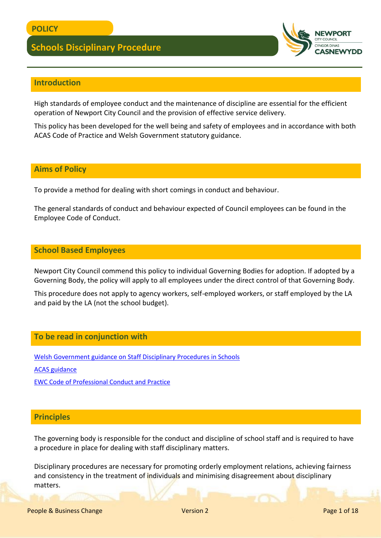

# **Introduction**

High standards of employee conduct and the maintenance of discipline are essential for the efficient operation of Newport City Council and the provision of effective service delivery.

This policy has been developed for the well being and safety of employees and in accordance with both ACAS Code of Practice and Welsh Government statutory guidance.

### **Aims of Policy**

To provide a method for dealing with short comings in conduct and behaviour.

The general standards of conduct and behaviour expected of Council employees can be found in the Employee Code of Conduct.

### **School Based Employees**

Newport City Council commend this policy to individual Governing Bodies for adoption. If adopted by a Governing Body, the policy will apply to all employees under the direct control of that Governing Body.

This procedure does not apply to agency workers, self-employed workers, or staff employed by the LA and paid by the LA (not the school budget).

### **To be read in conjunction with**

[Welsh Government guidance on Staff Disciplinary Procedures in Schools](https://gov.wales/education-skills)

[ACAS guidance](https://www.acas.org.uk/acas-code-of-practice-on-disciplinary-and-grievance-procedures) 

[EWC Code of Professional Conduct and Practice](file:///C:/Users/cercas/Documents/J16540%20EWC%20Code%20of%20Professional%20Conduct_E_Web.pdf)

### **Principles**

The governing body is responsible for the conduct and discipline of school staff and is required to have a procedure in place for dealing with staff disciplinary matters.

Disciplinary procedures are necessary for promoting orderly employment relations, achieving fairness and consistency in the treatment of individuals and minimising disagreement about disciplinary matters.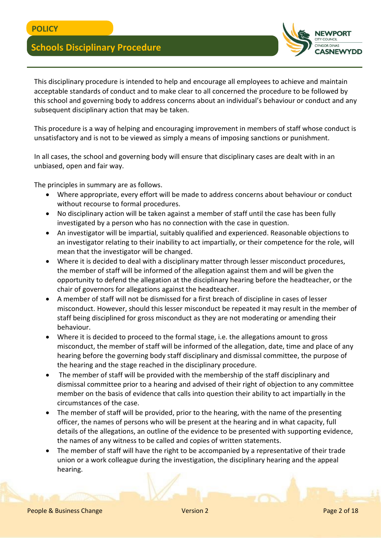

This disciplinary procedure is intended to help and encourage all employees to achieve and maintain acceptable standards of conduct and to make clear to all concerned the procedure to be followed by this school and governing body to address concerns about an individual's behaviour or conduct and any subsequent disciplinary action that may be taken.

This procedure is a way of helping and encouraging improvement in members of staff whose conduct is unsatisfactory and is not to be viewed as simply a means of imposing sanctions or punishment.

In all cases, the school and governing body will ensure that disciplinary cases are dealt with in an unbiased, open and fair way.

The principles in summary are as follows.

- Where appropriate, every effort will be made to address concerns about behaviour or conduct without recourse to formal procedures.
- No disciplinary action will be taken against a member of staff until the case has been fully investigated by a person who has no connection with the case in question.
- An investigator will be impartial, suitably qualified and experienced. Reasonable objections to an investigator relating to their inability to act impartially, or their competence for the role, will mean that the investigator will be changed.
- Where it is decided to deal with a disciplinary matter through lesser misconduct procedures, the member of staff will be informed of the allegation against them and will be given the opportunity to defend the allegation at the disciplinary hearing before the headteacher, or the chair of governors for allegations against the headteacher.
- A member of staff will not be dismissed for a first breach of discipline in cases of lesser misconduct. However, should this lesser misconduct be repeated it may result in the member of staff being disciplined for gross misconduct as they are not moderating or amending their behaviour.
- Where it is decided to proceed to the formal stage, i.e. the allegations amount to gross misconduct, the member of staff will be informed of the allegation, date, time and place of any hearing before the governing body staff disciplinary and dismissal committee, the purpose of the hearing and the stage reached in the disciplinary procedure.
- The member of staff will be provided with the membership of the staff disciplinary and dismissal committee prior to a hearing and advised of their right of objection to any committee member on the basis of evidence that calls into question their ability to act impartially in the circumstances of the case.
- The member of staff will be provided, prior to the hearing, with the name of the presenting officer, the names of persons who will be present at the hearing and in what capacity, full details of the allegations, an outline of the evidence to be presented with supporting evidence, the names of any witness to be called and copies of written statements.
- The member of staff will have the right to be accompanied by a representative of their trade union or a work colleague during the investigation, the disciplinary hearing and the appeal hearing.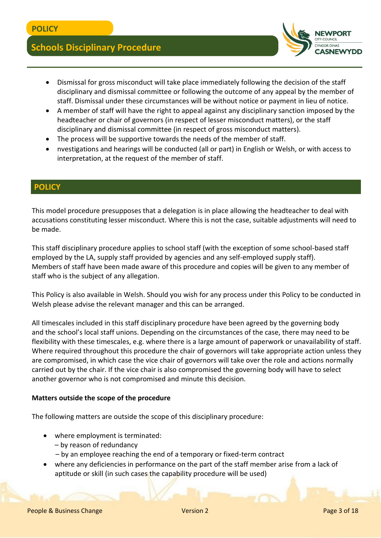

- Dismissal for gross misconduct will take place immediately following the decision of the staff disciplinary and dismissal committee or following the outcome of any appeal by the member of staff. Dismissal under these circumstances will be without notice or payment in lieu of notice.
- A member of staff will have the right to appeal against any disciplinary sanction imposed by the headteacher or chair of governors (in respect of lesser misconduct matters), or the staff disciplinary and dismissal committee (in respect of gross misconduct matters).
- The process will be supportive towards the needs of the member of staff.
- nvestigations and hearings will be conducted (all or part) in English or Welsh, or with access to interpretation, at the request of the member of staff.

## **POLICY**

This model procedure presupposes that a delegation is in place allowing the headteacher to deal with accusations constituting lesser misconduct. Where this is not the case, suitable adjustments will need to be made.

This staff disciplinary procedure applies to school staff (with the exception of some school-based staff employed by the LA, supply staff provided by agencies and any self-employed supply staff). Members of staff have been made aware of this procedure and copies will be given to any member of staff who is the subject of any allegation.

This Policy is also available in Welsh. Should you wish for any process under this Policy to be conducted in Welsh please advise the relevant manager and this can be arranged.

All timescales included in this staff disciplinary procedure have been agreed by the governing body and the school's local staff unions. Depending on the circumstances of the case, there may need to be flexibility with these timescales, e.g. where there is a large amount of paperwork or unavailability of staff. Where required throughout this procedure the chair of governors will take appropriate action unless they are compromised, in which case the vice chair of governors will take over the role and actions normally carried out by the chair. If the vice chair is also compromised the governing body will have to select another governor who is not compromised and minute this decision.

### **Matters outside the scope of the procedure**

The following matters are outside the scope of this disciplinary procedure:

- where employment is terminated:
	- by reason of redundancy
	- by an employee reaching the end of a temporary or fixed-term contract
- where any deficiencies in performance on the part of the staff member arise from a lack of aptitude or skill (in such cases the capability procedure will be used)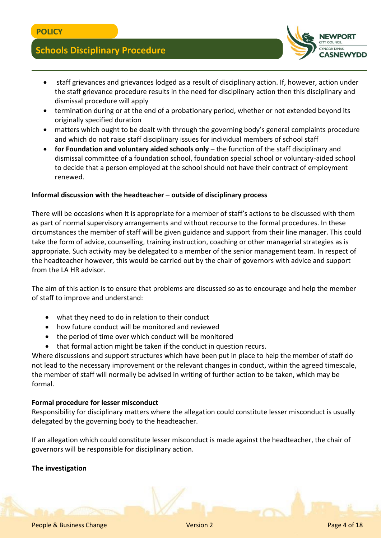

- staff grievances and grievances lodged as a result of disciplinary action. If, however, action under the staff grievance procedure results in the need for disciplinary action then this disciplinary and dismissal procedure will apply
- termination during or at the end of a probationary period, whether or not extended beyond its originally specified duration
- matters which ought to be dealt with through the governing body's general complaints procedure and which do not raise staff disciplinary issues for individual members of school staff
- **for Foundation and voluntary aided schools only** the function of the staff disciplinary and dismissal committee of a foundation school, foundation special school or voluntary-aided school to decide that a person employed at the school should not have their contract of employment renewed.

### **Informal discussion with the headteacher – outside of disciplinary process**

There will be occasions when it is appropriate for a member of staff's actions to be discussed with them as part of normal supervisory arrangements and without recourse to the formal procedures. In these circumstances the member of staff will be given guidance and support from their line manager. This could take the form of advice, counselling, training instruction, coaching or other managerial strategies as is appropriate. Such activity may be delegated to a member of the senior management team. In respect of the headteacher however, this would be carried out by the chair of governors with advice and support from the LA HR advisor.

The aim of this action is to ensure that problems are discussed so as to encourage and help the member of staff to improve and understand:

- what they need to do in relation to their conduct
- how future conduct will be monitored and reviewed
- the period of time over which conduct will be monitored
- that formal action might be taken if the conduct in question recurs.

Where discussions and support structures which have been put in place to help the member of staff do not lead to the necessary improvement or the relevant changes in conduct, within the agreed timescale, the member of staff will normally be advised in writing of further action to be taken, which may be formal.

### **Formal procedure for lesser misconduct**

Responsibility for disciplinary matters where the allegation could constitute lesser misconduct is usually delegated by the governing body to the headteacher.

If an allegation which could constitute lesser misconduct is made against the headteacher, the chair of governors will be responsible for disciplinary action.

### **The investigation**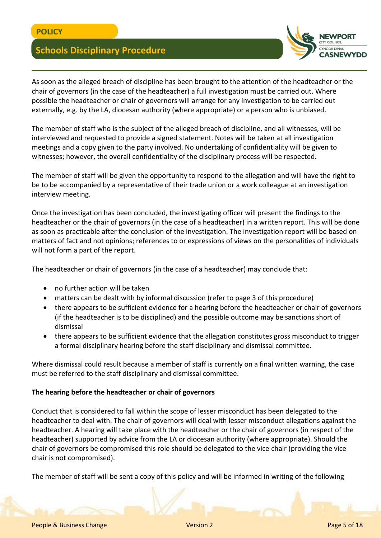

As soon as the alleged breach of discipline has been brought to the attention of the headteacher or the chair of governors (in the case of the headteacher) a full investigation must be carried out. Where possible the headteacher or chair of governors will arrange for any investigation to be carried out externally, e.g. by the LA, diocesan authority (where appropriate) or a person who is unbiased.

The member of staff who is the subject of the alleged breach of discipline, and all witnesses, will be interviewed and requested to provide a signed statement. Notes will be taken at all investigation meetings and a copy given to the party involved. No undertaking of confidentiality will be given to witnesses; however, the overall confidentiality of the disciplinary process will be respected.

The member of staff will be given the opportunity to respond to the allegation and will have the right to be to be accompanied by a representative of their trade union or a work colleague at an investigation interview meeting.

Once the investigation has been concluded, the investigating officer will present the findings to the headteacher or the chair of governors (in the case of a headteacher) in a written report. This will be done as soon as practicable after the conclusion of the investigation. The investigation report will be based on matters of fact and not opinions; references to or expressions of views on the personalities of individuals will not form a part of the report.

The headteacher or chair of governors (in the case of a headteacher) may conclude that:

- no further action will be taken
- matters can be dealt with by informal discussion (refer to page 3 of this procedure)
- there appears to be sufficient evidence for a hearing before the headteacher or chair of governors (if the headteacher is to be disciplined) and the possible outcome may be sanctions short of dismissal
- there appears to be sufficient evidence that the allegation constitutes gross misconduct to trigger a formal disciplinary hearing before the staff disciplinary and dismissal committee.

Where dismissal could result because a member of staff is currently on a final written warning, the case must be referred to the staff disciplinary and dismissal committee.

### **The hearing before the headteacher or chair of governors**

Conduct that is considered to fall within the scope of lesser misconduct has been delegated to the headteacher to deal with. The chair of governors will deal with lesser misconduct allegations against the headteacher. A hearing will take place with the headteacher or the chair of governors (in respect of the headteacher) supported by advice from the LA or diocesan authority (where appropriate). Should the chair of governors be compromised this role should be delegated to the vice chair (providing the vice chair is not compromised).

The member of staff will be sent a copy of this policy and will be informed in writing of the following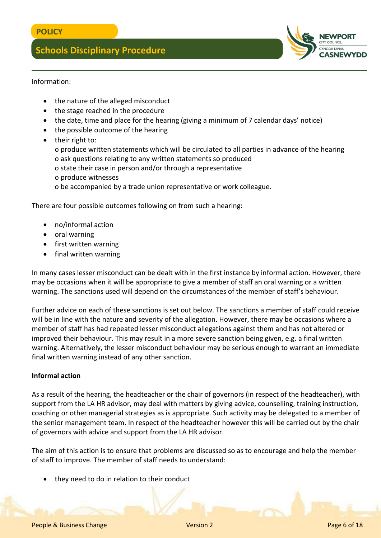

information:

- the nature of the alleged misconduct
- the stage reached in the procedure
- the date, time and place for the hearing (giving a minimum of 7 calendar days' notice)
- the possible outcome of the hearing
- their right to:
	- o produce written statements which will be circulated to all parties in advance of the hearing o ask questions relating to any written statements so produced
	- o state their case in person and/or through a representative
	- o produce witnesses
	- o be accompanied by a trade union representative or work colleague.

There are four possible outcomes following on from such a hearing:

- no/informal action
- oral warning
- first written warning
- final written warning

In many cases lesser misconduct can be dealt with in the first instance by informal action. However, there may be occasions when it will be appropriate to give a member of staff an oral warning or a written warning. The sanctions used will depend on the circumstances of the member of staff's behaviour.

Further advice on each of these sanctions is set out below. The sanctions a member of staff could receive will be in line with the nature and severity of the allegation. However, there may be occasions where a member of staff has had repeated lesser misconduct allegations against them and has not altered or improved their behaviour. This may result in a more severe sanction being given, e.g. a final written warning. Alternatively, the lesser misconduct behaviour may be serious enough to warrant an immediate final written warning instead of any other sanction.

### **Informal action**

As a result of the hearing, the headteacher or the chair of governors (in respect of the headteacher), with support from the LA HR advisor, may deal with matters by giving advice, counselling, training instruction, coaching or other managerial strategies as is appropriate. Such activity may be delegated to a member of the senior management team. In respect of the headteacher however this will be carried out by the chair of governors with advice and support from the LA HR advisor.

The aim of this action is to ensure that problems are discussed so as to encourage and help the member of staff to improve. The member of staff needs to understand:

they need to do in relation to their conduct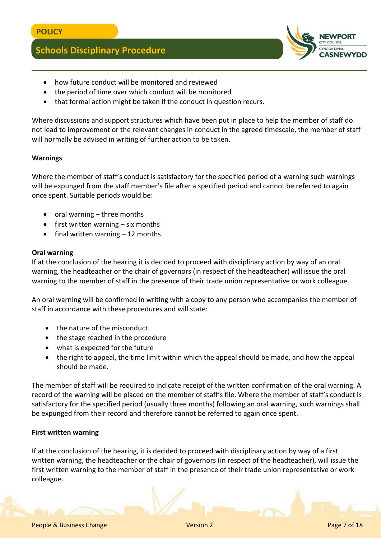

- how future conduct will be monitored and reviewed
- the period of time over which conduct will be monitored
- that formal action might be taken if the conduct in question recurs.

Where discussions and support structures which have been put in place to help the member of staff do not lead to improvement or the relevant changes in conduct in the agreed timescale, the member of staff will normally be advised in writing of further action to be taken.

### **Warnings**

Where the member of staff's conduct is satisfactory for the specified period of a warning such warnings will be expunged from the staff member's file after a specified period and cannot be referred to again once spent. Suitable periods would be:

- oral warning three months
- $\bullet$  first written warning six months
- final written warning 12 months.

### **Oral warning**

If at the conclusion of the hearing it is decided to proceed with disciplinary action by way of an oral warning, the headteacher or the chair of governors (in respect of the headteacher) will issue the oral warning to the member of staff in the presence of their trade union representative or work colleague.

An oral warning will be confirmed in writing with a copy to any person who accompanies the member of staff in accordance with these procedures and will state:

- the nature of the misconduct
- the stage reached in the procedure
- what is expected for the future
- the right to appeal, the time limit within which the appeal should be made, and how the appeal should be made.

The member of staff will be required to indicate receipt of the written confirmation of the oral warning. A record of the warning will be placed on the member of staff's file. Where the member of staff's conduct is satisfactory for the specified period (usually three months) following an oral warning, such warnings shall be expunged from their record and therefore cannot be referred to again once spent.

### **First written warning**

If at the conclusion of the hearing, it is decided to proceed with disciplinary action by way of a first written warning, the headteacher or the chair of governors (in respect of the headteacher), will issue the first written warning to the member of staff in the presence of their trade union representative or work colleague.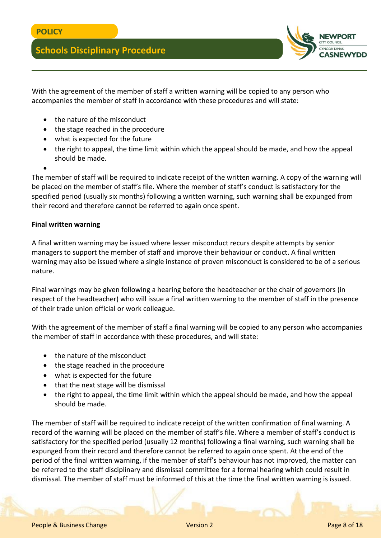

With the agreement of the member of staff a written warning will be copied to any person who accompanies the member of staff in accordance with these procedures and will state:

- the nature of the misconduct
- the stage reached in the procedure
- what is expected for the future
- the right to appeal, the time limit within which the appeal should be made, and how the appeal should be made.
- $\bullet$

The member of staff will be required to indicate receipt of the written warning. A copy of the warning will be placed on the member of staff's file. Where the member of staff's conduct is satisfactory for the specified period (usually six months) following a written warning, such warning shall be expunged from their record and therefore cannot be referred to again once spent.

### **Final written warning**

A final written warning may be issued where lesser misconduct recurs despite attempts by senior managers to support the member of staff and improve their behaviour or conduct. A final written warning may also be issued where a single instance of proven misconduct is considered to be of a serious nature.

Final warnings may be given following a hearing before the headteacher or the chair of governors (in respect of the headteacher) who will issue a final written warning to the member of staff in the presence of their trade union official or work colleague.

With the agreement of the member of staff a final warning will be copied to any person who accompanies the member of staff in accordance with these procedures, and will state:

- the nature of the misconduct
- the stage reached in the procedure
- what is expected for the future
- that the next stage will be dismissal
- the right to appeal, the time limit within which the appeal should be made, and how the appeal should be made.

The member of staff will be required to indicate receipt of the written confirmation of final warning. A record of the warning will be placed on the member of staff's file. Where a member of staff's conduct is satisfactory for the specified period (usually 12 months) following a final warning, such warning shall be expunged from their record and therefore cannot be referred to again once spent. At the end of the period of the final written warning, if the member of staff's behaviour has not improved, the matter can be referred to the staff disciplinary and dismissal committee for a formal hearing which could result in dismissal. The member of staff must be informed of this at the time the final written warning is issued.

People & Business Change Network Change Version 2 Page 8 of 18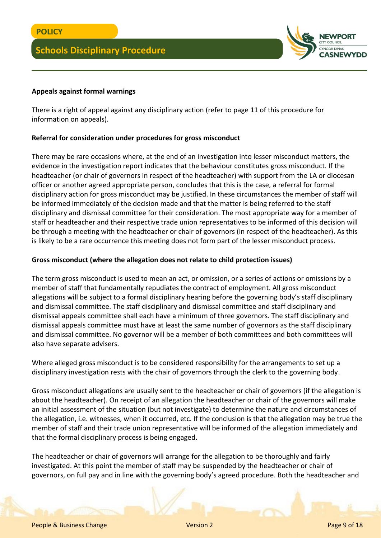

### **Appeals against formal warnings**

There is a right of appeal against any disciplinary action (refer to page 11 of this procedure for information on appeals).

### **Referral for consideration under procedures for gross misconduct**

There may be rare occasions where, at the end of an investigation into lesser misconduct matters, the evidence in the investigation report indicates that the behaviour constitutes gross misconduct. If the headteacher (or chair of governors in respect of the headteacher) with support from the LA or diocesan officer or another agreed appropriate person, concludes that this is the case, a referral for formal disciplinary action for gross misconduct may be justified. In these circumstances the member of staff will be informed immediately of the decision made and that the matter is being referred to the staff disciplinary and dismissal committee for their consideration. The most appropriate way for a member of staff or headteacher and their respective trade union representatives to be informed of this decision will be through a meeting with the headteacher or chair of governors (in respect of the headteacher). As this is likely to be a rare occurrence this meeting does not form part of the lesser misconduct process.

### **Gross misconduct (where the allegation does not relate to child protection issues)**

The term gross misconduct is used to mean an act, or omission, or a series of actions or omissions by a member of staff that fundamentally repudiates the contract of employment. All gross misconduct allegations will be subject to a formal disciplinary hearing before the governing body's staff disciplinary and dismissal committee. The staff disciplinary and dismissal committee and staff disciplinary and dismissal appeals committee shall each have a minimum of three governors. The staff disciplinary and dismissal appeals committee must have at least the same number of governors as the staff disciplinary and dismissal committee. No governor will be a member of both committees and both committees will also have separate advisers.

Where alleged gross misconduct is to be considered responsibility for the arrangements to set up a disciplinary investigation rests with the chair of governors through the clerk to the governing body.

Gross misconduct allegations are usually sent to the headteacher or chair of governors (if the allegation is about the headteacher). On receipt of an allegation the headteacher or chair of the governors will make an initial assessment of the situation (but not investigate) to determine the nature and circumstances of the allegation, i.e. witnesses, when it occurred, etc. If the conclusion is that the allegation may be true the member of staff and their trade union representative will be informed of the allegation immediately and that the formal disciplinary process is being engaged.

The headteacher or chair of governors will arrange for the allegation to be thoroughly and fairly investigated. At this point the member of staff may be suspended by the headteacher or chair of governors, on full pay and in line with the governing body's agreed procedure. Both the headteacher and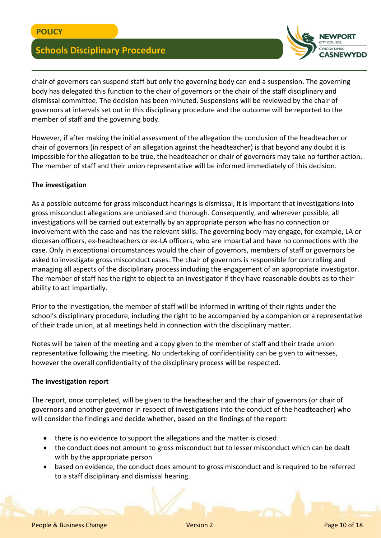

chair of governors can suspend staff but only the governing body can end a suspension. The governing body has delegated this function to the chair of governors or the chair of the staff disciplinary and dismissal committee. The decision has been minuted. Suspensions will be reviewed by the chair of governors at intervals set out in this disciplinary procedure and the outcome will be reported to the member of staff and the governing body.

However, if after making the initial assessment of the allegation the conclusion of the headteacher or chair of governors (in respect of an allegation against the headteacher) is that beyond any doubt it is impossible for the allegation to be true, the headteacher or chair of governors may take no further action. The member of staff and their union representative will be informed immediately of this decision.

### **The investigation**

As a possible outcome for gross misconduct hearings is dismissal, it is important that investigations into gross misconduct allegations are unbiased and thorough. Consequently, and wherever possible, all investigations will be carried out externally by an appropriate person who has no connection or involvement with the case and has the relevant skills. The governing body may engage, for example, LA or diocesan officers, ex-headteachers or ex-LA officers, who are impartial and have no connections with the case. Only in exceptional circumstances would the chair of governors, members of staff or governors be asked to investigate gross misconduct cases. The chair of governors is responsible for controlling and managing all aspects of the disciplinary process including the engagement of an appropriate investigator. The member of staff has the right to object to an investigator if they have reasonable doubts as to their ability to act impartially.

Prior to the investigation, the member of staff will be informed in writing of their rights under the school's disciplinary procedure, including the right to be accompanied by a companion or a representative of their trade union, at all meetings held in connection with the disciplinary matter.

Notes will be taken of the meeting and a copy given to the member of staff and their trade union representative following the meeting. No undertaking of confidentiality can be given to witnesses, however the overall confidentiality of the disciplinary process will be respected.

### **The investigation report**

The report, once completed, will be given to the headteacher and the chair of governors (or chair of governors and another governor in respect of investigations into the conduct of the headteacher) who will consider the findings and decide whether, based on the findings of the report:

- there is no evidence to support the allegations and the matter is closed
- the conduct does not amount to gross misconduct but to lesser misconduct which can be dealt with by the appropriate person
- based on evidence, the conduct does amount to gross misconduct and is required to be referred to a staff disciplinary and dismissal hearing.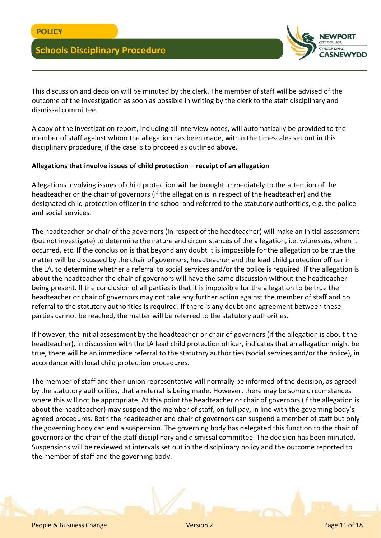

This discussion and decision will be minuted by the clerk. The member of staff will be advised of the outcome of the investigation as soon as possible in writing by the clerk to the staff disciplinary and dismissal committee.

A copy of the investigation report, including all interview notes, will automatically be provided to the member of staff against whom the allegation has been made, within the timescales set out in this disciplinary procedure, if the case is to proceed as outlined above.

### **Allegations that involve issues of child protection – receipt of an allegation**

Allegations involving issues of child protection will be brought immediately to the attention of the headteacher or the chair of governors (if the allegation is in respect of the headteacher) and the designated child protection officer in the school and referred to the statutory authorities, e.g. the police and social services.

The headteacher or chair of the governors (in respect of the headteacher) will make an initial assessment (but not investigate) to determine the nature and circumstances of the allegation, i.e. witnesses, when it occurred, etc. If the conclusion is that beyond any doubt it is impossible for the allegation to be true the matter will be discussed by the chair of governors, headteacher and the lead child protection officer in the LA, to determine whether a referral to social services and/or the police is required. If the allegation is about the headteacher the chair of governors will have the same discussion without the headteacher being present. If the conclusion of all parties is that it is impossible for the allegation to be true the headteacher or chair of governors may not take any further action against the member of staff and no referral to the statutory authorities is required. If there is any doubt and agreement between these parties cannot be reached, the matter will be referred to the statutory authorities.

If however, the initial assessment by the headteacher or chair of governors (if the allegation is about the headteacher), in discussion with the LA lead child protection officer, indicates that an allegation might be true, there will be an immediate referral to the statutory authorities (social services and/or the police), in accordance with local child protection procedures.

The member of staff and their union representative will normally be informed of the decision, as agreed by the statutory authorities, that a referral is being made. However, there may be some circumstances where this will not be appropriate. At this point the headteacher or chair of governors (if the allegation is about the headteacher) may suspend the member of staff, on full pay, in line with the governing body's agreed procedures. Both the headteacher and chair of governors can suspend a member of staff but only the governing body can end a suspension. The governing body has delegated this function to the chair of governors or the chair of the staff disciplinary and dismissal committee. The decision has been minuted. Suspensions will be reviewed at intervals set out in the disciplinary policy and the outcome reported to the member of staff and the governing body.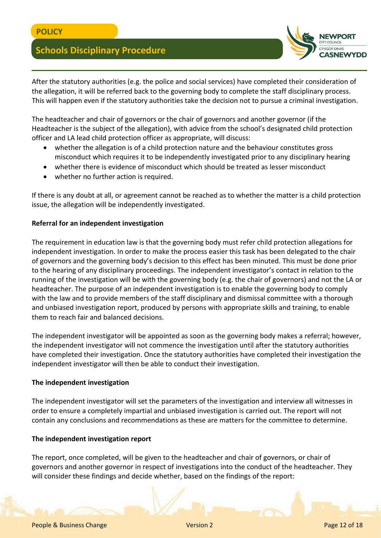

After the statutory authorities (e.g. the police and social services) have completed their consideration of the allegation, it will be referred back to the governing body to complete the staff disciplinary process. This will happen even if the statutory authorities take the decision not to pursue a criminal investigation.

The headteacher and chair of governors or the chair of governors and another governor (if the Headteacher is the subject of the allegation), with advice from the school's designated child protection officer and LA lead child protection officer as appropriate, will discuss:

- whether the allegation is of a child protection nature and the behaviour constitutes gross misconduct which requires it to be independently investigated prior to any disciplinary hearing
- whether there is evidence of misconduct which should be treated as lesser misconduct
- whether no further action is required.

If there is any doubt at all, or agreement cannot be reached as to whether the matter is a child protection issue, the allegation will be independently investigated.

## **Referral for an independent investigation**

The requirement in education law is that the governing body must refer child protection allegations for independent investigation. In order to make the process easier this task has been delegated to the chair of governors and the governing body's decision to this effect has been minuted. This must be done prior to the hearing of any disciplinary proceedings. The independent investigator's contact in relation to the running of the investigation will be with the governing body (e.g. the chair of governors) and not the LA or headteacher. The purpose of an independent investigation is to enable the governing body to comply with the law and to provide members of the staff disciplinary and dismissal committee with a thorough and unbiased investigation report, produced by persons with appropriate skills and training, to enable them to reach fair and balanced decisions.

The independent investigator will be appointed as soon as the governing body makes a referral; however, the independent investigator will not commence the investigation until after the statutory authorities have completed their investigation. Once the statutory authorities have completed their investigation the independent investigator will then be able to conduct their investigation.

### **The independent investigation**

The independent investigator will set the parameters of the investigation and interview all witnesses in order to ensure a completely impartial and unbiased investigation is carried out. The report will not contain any conclusions and recommendations as these are matters for the committee to determine.

### **The independent investigation report**

The report, once completed, will be given to the headteacher and chair of governors, or chair of governors and another governor in respect of investigations into the conduct of the headteacher. They will consider these findings and decide whether, based on the findings of the report: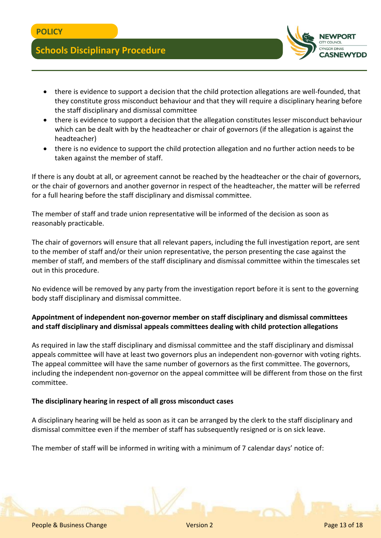

- there is evidence to support a decision that the child protection allegations are well-founded, that they constitute gross misconduct behaviour and that they will require a disciplinary hearing before the staff disciplinary and dismissal committee
- there is evidence to support a decision that the allegation constitutes lesser misconduct behaviour which can be dealt with by the headteacher or chair of governors (if the allegation is against the headteacher)
- there is no evidence to support the child protection allegation and no further action needs to be taken against the member of staff.

If there is any doubt at all, or agreement cannot be reached by the headteacher or the chair of governors, or the chair of governors and another governor in respect of the headteacher, the matter will be referred for a full hearing before the staff disciplinary and dismissal committee.

The member of staff and trade union representative will be informed of the decision as soon as reasonably practicable.

The chair of governors will ensure that all relevant papers, including the full investigation report, are sent to the member of staff and/or their union representative, the person presenting the case against the member of staff, and members of the staff disciplinary and dismissal committee within the timescales set out in this procedure.

No evidence will be removed by any party from the investigation report before it is sent to the governing body staff disciplinary and dismissal committee.

# **Appointment of independent non-governor member on staff disciplinary and dismissal committees and staff disciplinary and dismissal appeals committees dealing with child protection allegations**

As required in law the staff disciplinary and dismissal committee and the staff disciplinary and dismissal appeals committee will have at least two governors plus an independent non-governor with voting rights. The appeal committee will have the same number of governors as the first committee. The governors, including the independent non-governor on the appeal committee will be different from those on the first committee.

## **The disciplinary hearing in respect of all gross misconduct cases**

A disciplinary hearing will be held as soon as it can be arranged by the clerk to the staff disciplinary and dismissal committee even if the member of staff has subsequently resigned or is on sick leave.

The member of staff will be informed in writing with a minimum of 7 calendar days' notice of: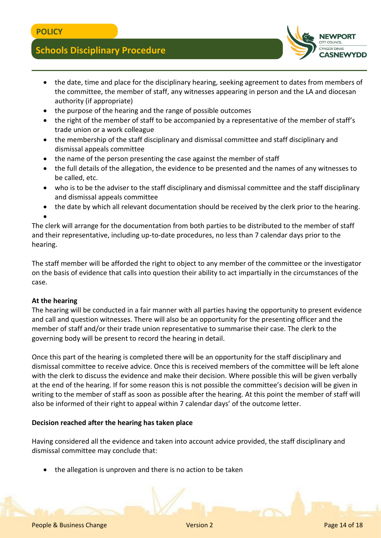

- the date, time and place for the disciplinary hearing, seeking agreement to dates from members of the committee, the member of staff, any witnesses appearing in person and the LA and diocesan authority (if appropriate)
- the purpose of the hearing and the range of possible outcomes
- the right of the member of staff to be accompanied by a representative of the member of staff's trade union or a work colleague
- the membership of the staff disciplinary and dismissal committee and staff disciplinary and dismissal appeals committee
- the name of the person presenting the case against the member of staff
- the full details of the allegation, the evidence to be presented and the names of any witnesses to be called, etc.
- who is to be the adviser to the staff disciplinary and dismissal committee and the staff disciplinary and dismissal appeals committee
- the date by which all relevant documentation should be received by the clerk prior to the hearing.  $\bullet$

The clerk will arrange for the documentation from both parties to be distributed to the member of staff and their representative, including up-to-date procedures, no less than 7 calendar days prior to the hearing.

The staff member will be afforded the right to object to any member of the committee or the investigator on the basis of evidence that calls into question their ability to act impartially in the circumstances of the case.

## **At the hearing**

The hearing will be conducted in a fair manner with all parties having the opportunity to present evidence and call and question witnesses. There will also be an opportunity for the presenting officer and the member of staff and/or their trade union representative to summarise their case. The clerk to the governing body will be present to record the hearing in detail.

Once this part of the hearing is completed there will be an opportunity for the staff disciplinary and dismissal committee to receive advice. Once this is received members of the committee will be left alone with the clerk to discuss the evidence and make their decision. Where possible this will be given verbally at the end of the hearing. If for some reason this is not possible the committee's decision will be given in writing to the member of staff as soon as possible after the hearing. At this point the member of staff will also be informed of their right to appeal within 7 calendar days' of the outcome letter.

## **Decision reached after the hearing has taken place**

Having considered all the evidence and taken into account advice provided, the staff disciplinary and dismissal committee may conclude that:

the allegation is unproven and there is no action to be taken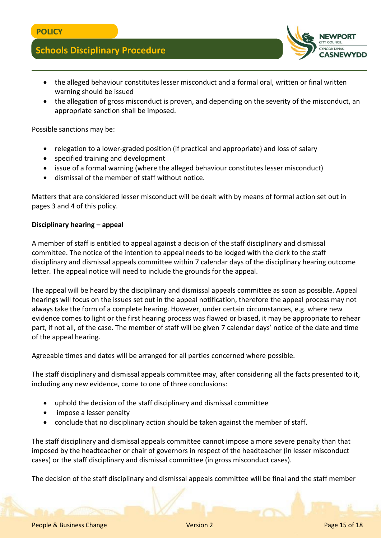

- the alleged behaviour constitutes lesser misconduct and a formal oral, written or final written warning should be issued
- the allegation of gross misconduct is proven, and depending on the severity of the misconduct, an appropriate sanction shall be imposed.

Possible sanctions may be:

- relegation to a lower-graded position (if practical and appropriate) and loss of salary
- specified training and development
- issue of a formal warning (where the alleged behaviour constitutes lesser misconduct)
- dismissal of the member of staff without notice.

Matters that are considered lesser misconduct will be dealt with by means of formal action set out in pages 3 and 4 of this policy.

#### **Disciplinary hearing – appeal**

A member of staff is entitled to appeal against a decision of the staff disciplinary and dismissal committee. The notice of the intention to appeal needs to be lodged with the clerk to the staff disciplinary and dismissal appeals committee within 7 calendar days of the disciplinary hearing outcome letter. The appeal notice will need to include the grounds for the appeal.

The appeal will be heard by the disciplinary and dismissal appeals committee as soon as possible. Appeal hearings will focus on the issues set out in the appeal notification, therefore the appeal process may not always take the form of a complete hearing. However, under certain circumstances, e.g. where new evidence comes to light or the first hearing process was flawed or biased, it may be appropriate to rehear part, if not all, of the case. The member of staff will be given 7 calendar days' notice of the date and time of the appeal hearing.

Agreeable times and dates will be arranged for all parties concerned where possible.

The staff disciplinary and dismissal appeals committee may, after considering all the facts presented to it, including any new evidence, come to one of three conclusions:

- uphold the decision of the staff disciplinary and dismissal committee
- impose a lesser penalty
- conclude that no disciplinary action should be taken against the member of staff.

The staff disciplinary and dismissal appeals committee cannot impose a more severe penalty than that imposed by the headteacher or chair of governors in respect of the headteacher (in lesser misconduct cases) or the staff disciplinary and dismissal committee (in gross misconduct cases).

The decision of the staff disciplinary and dismissal appeals committee will be final and the staff member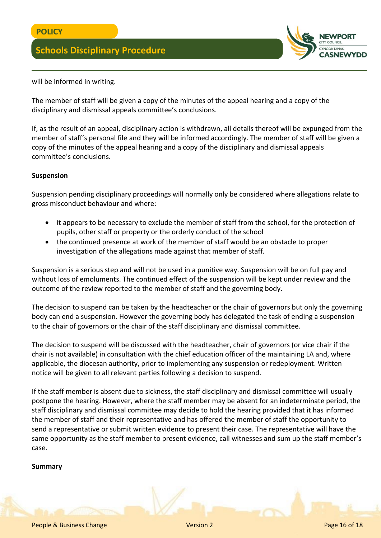

will be informed in writing.

The member of staff will be given a copy of the minutes of the appeal hearing and a copy of the disciplinary and dismissal appeals committee's conclusions.

If, as the result of an appeal, disciplinary action is withdrawn, all details thereof will be expunged from the member of staff's personal file and they will be informed accordingly. The member of staff will be given a copy of the minutes of the appeal hearing and a copy of the disciplinary and dismissal appeals committee's conclusions.

### **Suspension**

Suspension pending disciplinary proceedings will normally only be considered where allegations relate to gross misconduct behaviour and where:

- it appears to be necessary to exclude the member of staff from the school, for the protection of pupils, other staff or property or the orderly conduct of the school
- the continued presence at work of the member of staff would be an obstacle to proper investigation of the allegations made against that member of staff.

Suspension is a serious step and will not be used in a punitive way. Suspension will be on full pay and without loss of emoluments. The continued effect of the suspension will be kept under review and the outcome of the review reported to the member of staff and the governing body.

The decision to suspend can be taken by the headteacher or the chair of governors but only the governing body can end a suspension. However the governing body has delegated the task of ending a suspension to the chair of governors or the chair of the staff disciplinary and dismissal committee.

The decision to suspend will be discussed with the headteacher, chair of governors (or vice chair if the chair is not available) in consultation with the chief education officer of the maintaining LA and, where applicable, the diocesan authority, prior to implementing any suspension or redeployment. Written notice will be given to all relevant parties following a decision to suspend.

If the staff member is absent due to sickness, the staff disciplinary and dismissal committee will usually postpone the hearing. However, where the staff member may be absent for an indeterminate period, the staff disciplinary and dismissal committee may decide to hold the hearing provided that it has informed the member of staff and their representative and has offered the member of staff the opportunity to send a representative or submit written evidence to present their case. The representative will have the same opportunity as the staff member to present evidence, call witnesses and sum up the staff member's case.

### **Summary**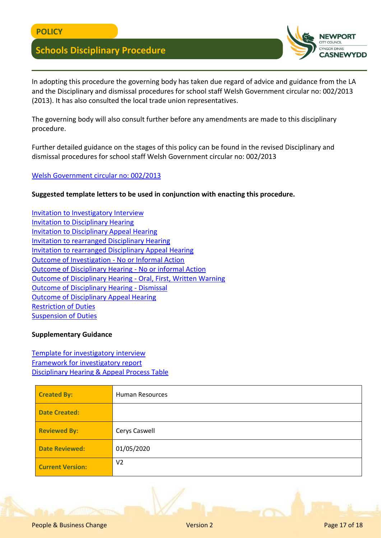

In adopting this procedure the governing body has taken due regard of advice and guidance from the LA and the Disciplinary and dismissal procedures for school staff Welsh Government circular no: 002/2013 (2013). It has also consulted the local trade union representatives.

The governing body will also consult further before any amendments are made to this disciplinary procedure.

Further detailed guidance on the stages of this policy can be found in the revised Disciplinary and dismissal procedures for school staff Welsh Government circular no: 002/2013

### [Welsh Government circular no: 002/2013](https://gov.wales/education-skills)

**Suggested template letters to be used in conjunction with enacting this procedure.**

[Invitation to Investigatory Interview](file:///C:/Users/cercas/Documents/HR-Invitation-to-Investigatory-Interview.docx) [Invitation to Disciplinary Hearing](file:///C:/Users/cercas/Documents/Invitation%20to%20SDD%20disciplinary%20hearing.docx) [Invitation to Disciplinary Appeal Hearing](file:///C:/Users/cercas/Documents/HR-Invitation-to-Disciplinary-Appeal-Hearing.docx) [Invitation to rearranged Disciplinary Hearing](file:///C:/Users/cercas/Documents/HR-Invitation-to-Rearranged-Disciplinary-Hearing.docx) [Invitation to rearranged Disciplinary Appeal Hearing](file:///C:/Users/cercas/Documents/HR-Invitation-to-Rearranged-Disciplinary-Appeal-Hearing.docx) [Outcome of Investigation -](file:///C:/Users/cercas/Documents/HR-Outcome-of-Disciplinary-Investigation-No-Further-Action.docx) No or Informal Action [Outcome of Disciplinary Hearing -](file:///C:/Users/cercas/Documents/HR-Outcome-of-Disciplinary-Hearing-No-Further-Action.docx) No or informal Action [Outcome of Disciplinary Hearing -](file:///C:/Users/cercas/Documents/Outcome%20of%20Disciplinary%20Hearing%20First%20Written%20Warning.docx) Oral, First, Written Warning [Outcome of Disciplinary Hearing -](file:///C:/Users/cercas/Documents/Outcome%20of%20SDD%20disciplinary%20-%20Dismissal.docx) Dismissal [Outcome of Disciplinary Appeal Hearing](file:///C:/Users/cercas/Documents/HR-Outcome-of-Disciplinary-Appeal-Hearing.docx) [Restriction of Duties](file:///C:/Users/cercas/Documents/HR-Restriction-of-Duties-or-Redeployment%20(1).docx) [Suspension of Duties](file:///C:/Users/cercas/Documents/HR-Suspension-of-Duties.docx)

### **Supplementary Guidance**

[Template for investigatory interview](file:///C:/Users/cercas/Documents/Investigatory%20Interview%20Template.pdf) [Framework for investigatory report](file:///C:/Users/cercas/Documents/Framework%20for%20meeting%20re%20Restriction%20-%20Re-deployment%20or%20Suspension%20of%20Duties.pdf) [Disciplinary Hearing & Appeal Process Table](file:///C:/Users/cercas/Documents/Disciplinary%20Hearing%20and%20Appeal%20Hearing%20Process%20Table.pdf)

| <b>Created By:</b>      | <b>Human Resources</b> |  |
|-------------------------|------------------------|--|
| <b>Date Created:</b>    |                        |  |
| <b>Reviewed By:</b>     | Cerys Caswell          |  |
| <b>Date Reviewed:</b>   | 01/05/2020             |  |
| <b>Current Version:</b> | V <sub>2</sub>         |  |